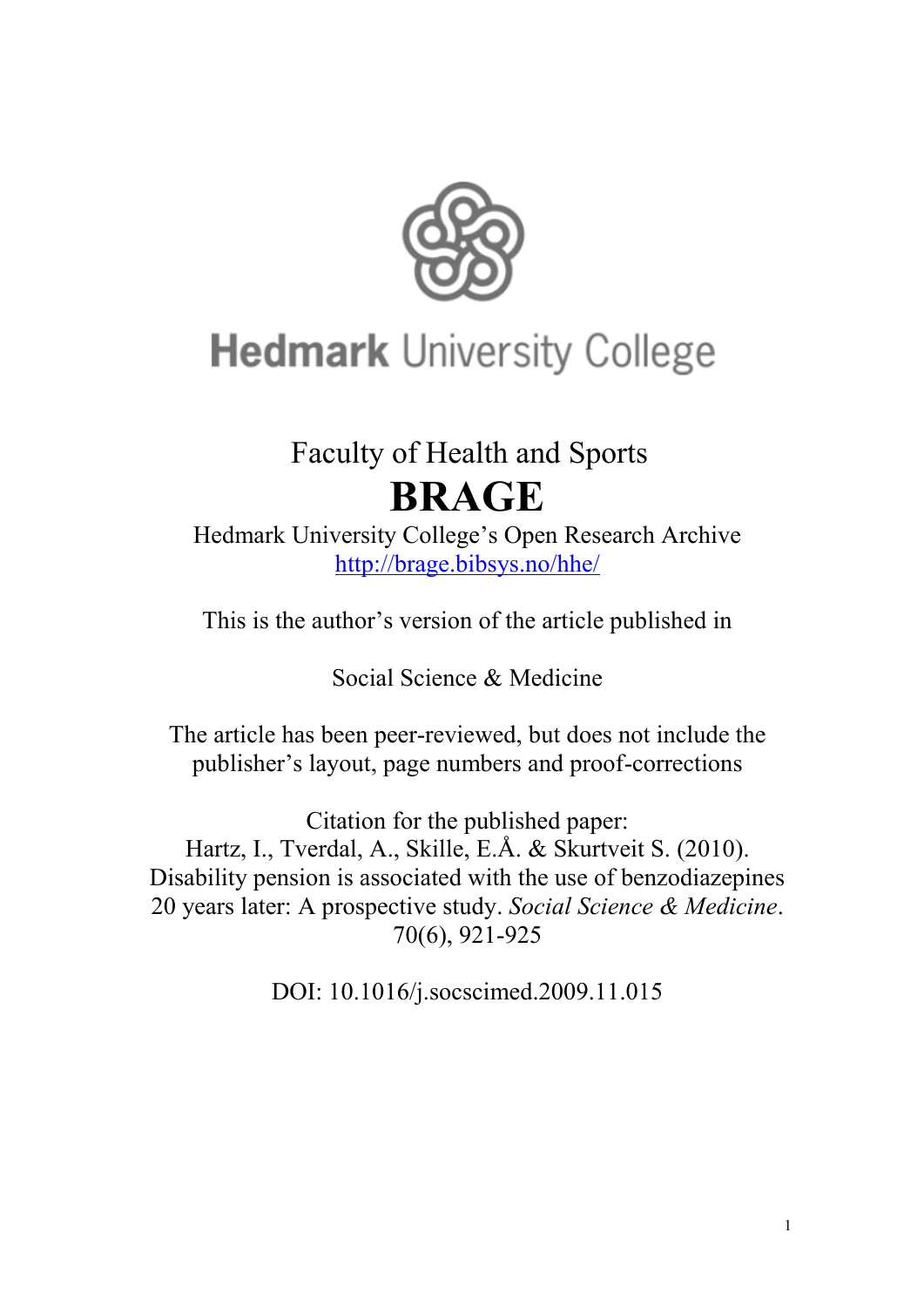

# **Hedmark University College**

## Faculty of Health and Sports **BRAGE**

Hedmark University College"s Open Research Archive <http://brage.bibsys.no/hhe/>

This is the author"s version of the article published in

Social Science & Medicine

The article has been peer-reviewed, but does not include the publisher"s layout, page numbers and proof-corrections

Citation for the published paper: Hartz, I., Tverdal, A., Skille, E.Å. & Skurtveit S. (2010). Disability pension is associated with the use of benzodiazepines 20 years later: A prospective study. *Social Science & Medicine*. 70(6), 921-925

DOI: 10.1016/j.socscimed.2009.11.015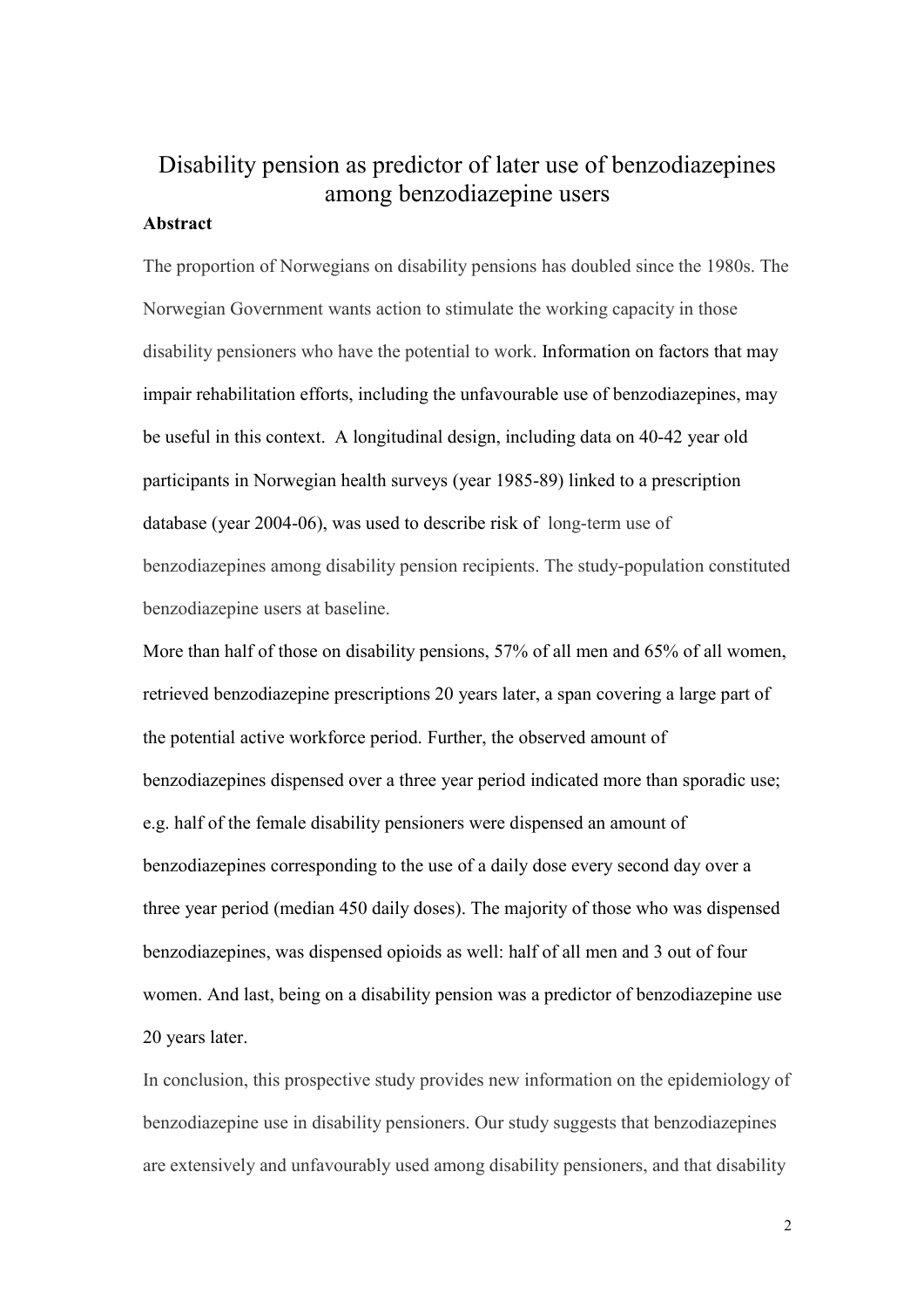### Disability pension as predictor of later use of benzodiazepines among benzodiazepine users

#### **Abstract**

The proportion of Norwegians on disability pensions has doubled since the 1980s. The Norwegian Government wants action to stimulate the working capacity in those disability pensioners who have the potential to work. Information on factors that may impair rehabilitation efforts, including the unfavourable use of benzodiazepines, may be useful in this context. A longitudinal design, including data on 40-42 year old participants in Norwegian health surveys (year 1985-89) linked to a prescription database (year 2004-06), was used to describe risk of long-term use of benzodiazepines among disability pension recipients. The study-population constituted benzodiazepine users at baseline.

More than half of those on disability pensions, 57% of all men and 65% of all women, retrieved benzodiazepine prescriptions 20 years later, a span covering a large part of the potential active workforce period. Further, the observed amount of benzodiazepines dispensed over a three year period indicated more than sporadic use; e.g. half of the female disability pensioners were dispensed an amount of benzodiazepines corresponding to the use of a daily dose every second day over a three year period (median 450 daily doses). The majority of those who was dispensed benzodiazepines, was dispensed opioids as well: half of all men and 3 out of four women. And last, being on a disability pension was a predictor of benzodiazepine use 20 years later.

In conclusion, this prospective study provides new information on the epidemiology of benzodiazepine use in disability pensioners. Our study suggests that benzodiazepines are extensively and unfavourably used among disability pensioners, and that disability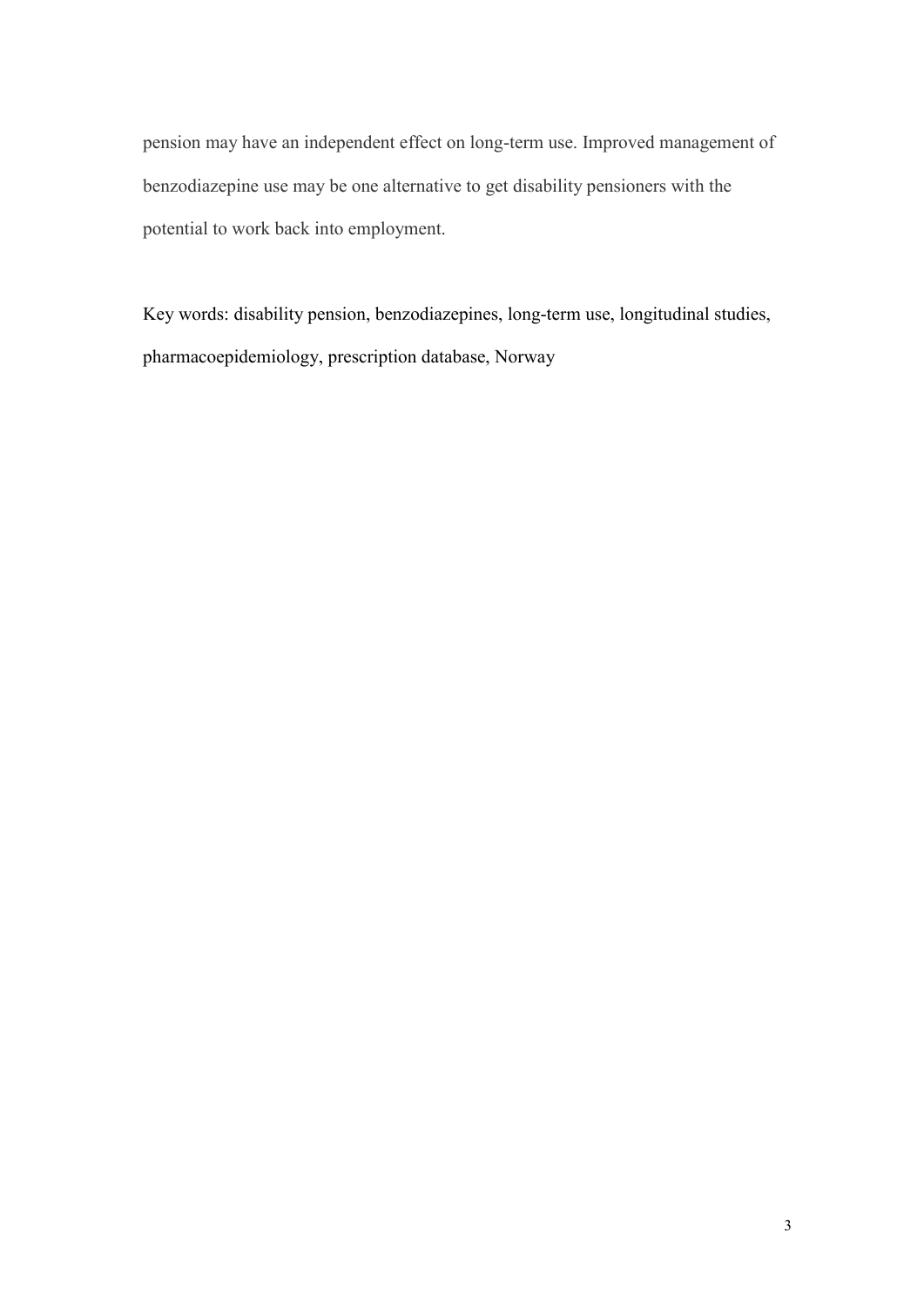pension may have an independent effect on long-term use. Improved management of benzodiazepine use may be one alternative to get disability pensioners with the potential to work back into employment.

Key words: disability pension, benzodiazepines, long-term use, longitudinal studies, pharmacoepidemiology, prescription database, Norway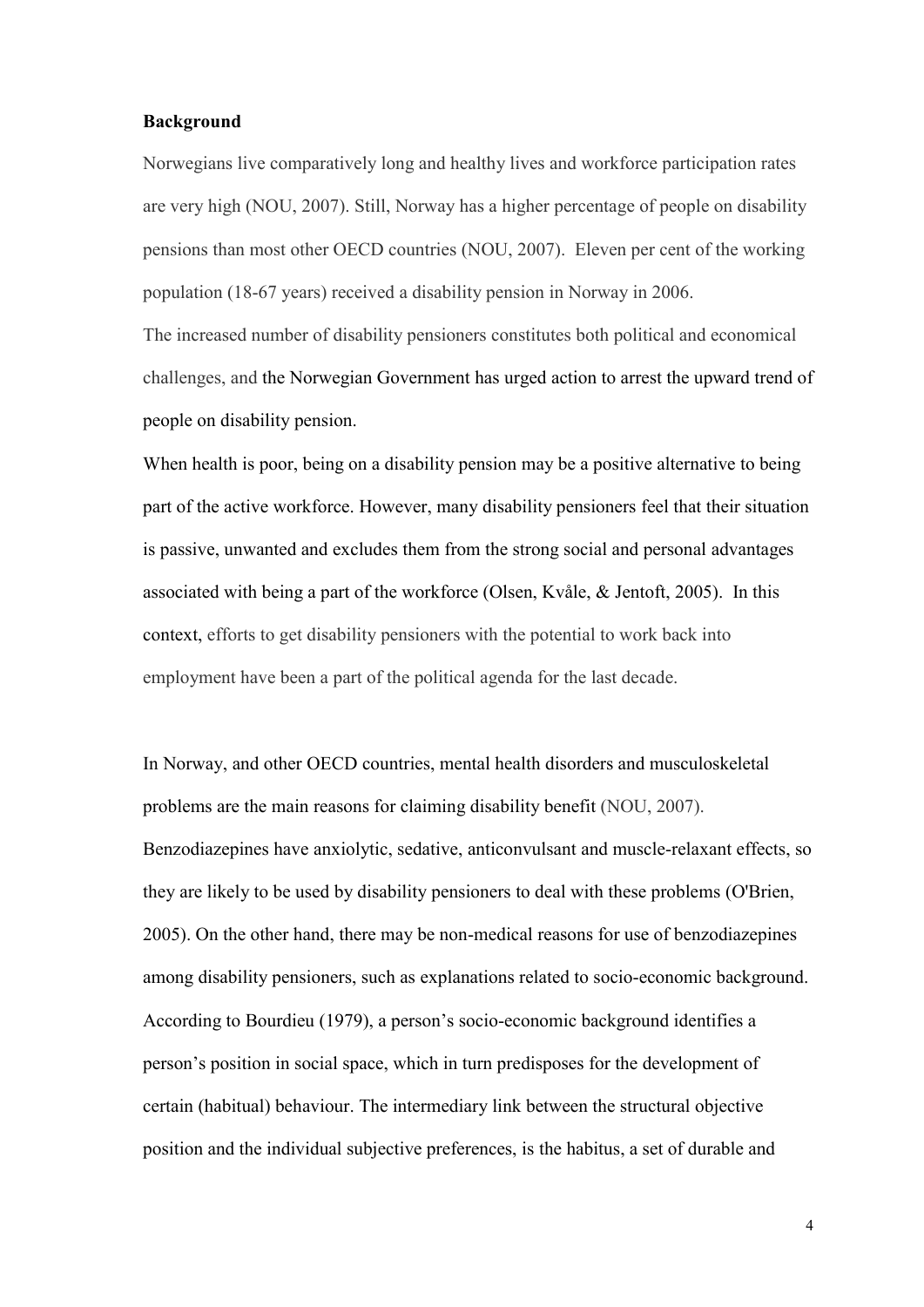#### **Background**

Norwegians live comparatively long and healthy lives and workforce participation rates are very high (NOU, 2007). Still, Norway has a higher percentage of people on disability pensions than most other OECD countries (NOU, 2007). Eleven per cent of the working population (18-67 years) received a disability pension in Norway in 2006.

The increased number of disability pensioners constitutes both political and economical challenges, and the Norwegian Government has urged action to arrest the upward trend of people on disability pension.

When health is poor, being on a disability pension may be a positive alternative to being part of the active workforce. However, many disability pensioners feel that their situation is passive, unwanted and excludes them from the strong social and personal advantages associated with being a part of the workforce (Olsen, Kvåle, & Jentoft, 2005). In this context, efforts to get disability pensioners with the potential to work back into employment have been a part of the political agenda for the last decade.

In Norway, and other OECD countries, mental health disorders and musculoskeletal problems are the main reasons for claiming disability benefit (NOU, 2007). Benzodiazepines have anxiolytic, sedative, anticonvulsant and muscle-relaxant effects, so they are likely to be used by disability pensioners to deal with these problems (O'Brien, 2005). On the other hand, there may be non-medical reasons for use of benzodiazepines among disability pensioners, such as explanations related to socio-economic background. According to Bourdieu (1979), a person"s socio-economic background identifies a person"s position in social space, which in turn predisposes for the development of certain (habitual) behaviour. The intermediary link between the structural objective position and the individual subjective preferences, is the habitus, a set of durable and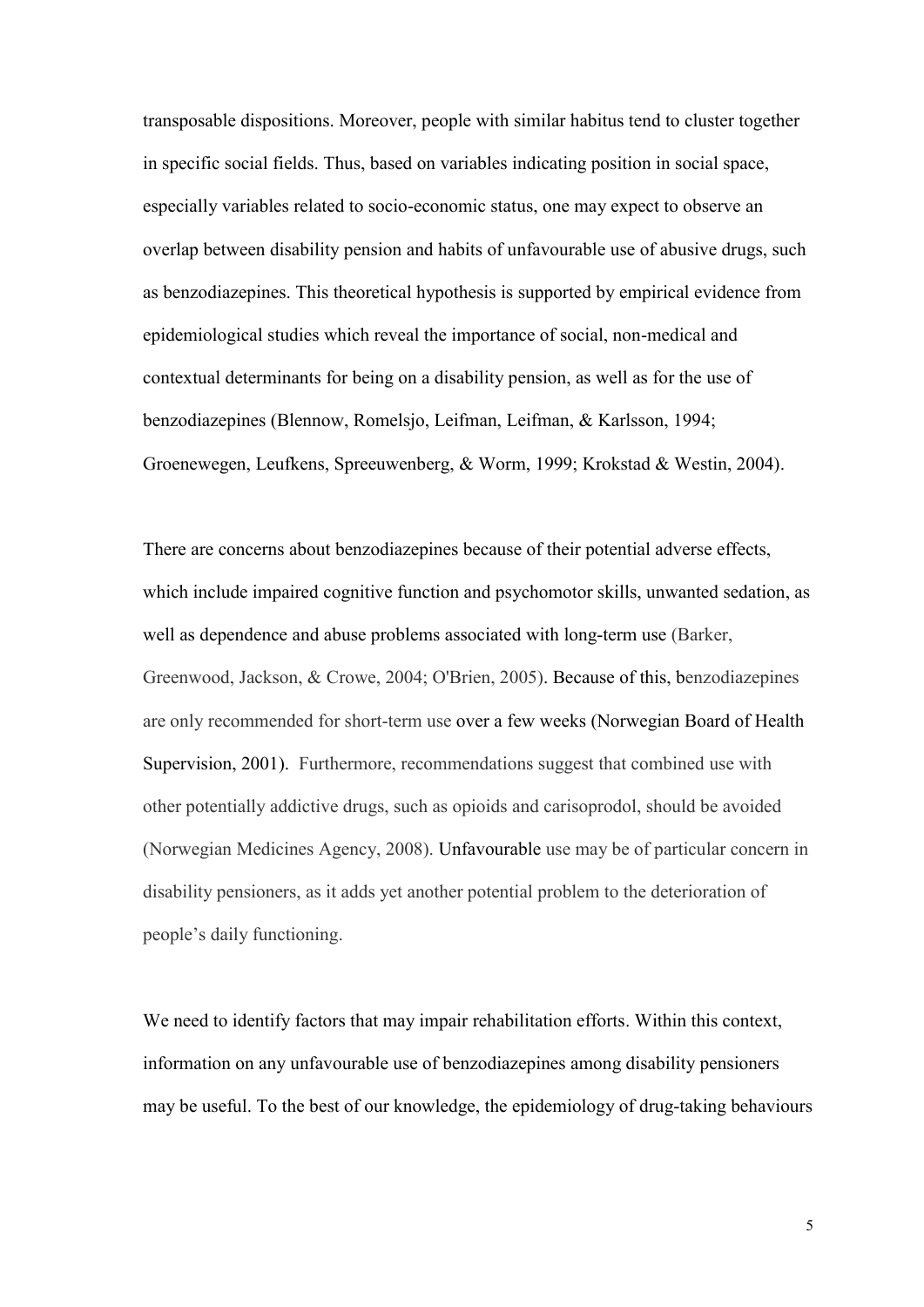transposable dispositions. Moreover, people with similar habitus tend to cluster together in specific social fields. Thus, based on variables indicating position in social space, especially variables related to socio-economic status, one may expect to observe an overlap between disability pension and habits of unfavourable use of abusive drugs, such as benzodiazepines. This theoretical hypothesis is supported by empirical evidence from epidemiological studies which reveal the importance of social, non-medical and contextual determinants for being on a disability pension, as well as for the use of benzodiazepines (Blennow, Romelsjo, Leifman, Leifman, & Karlsson, 1994; Groenewegen, Leufkens, Spreeuwenberg, & Worm, 1999; Krokstad & Westin, 2004).

There are concerns about benzodiazepines because of their potential adverse effects, which include impaired cognitive function and psychomotor skills, unwanted sedation, as well as dependence and abuse problems associated with long-term use (Barker, Greenwood, Jackson, & Crowe, 2004; O'Brien, 2005). Because of this, benzodiazepines are only recommended for short-term use over a few weeks (Norwegian Board of Health Supervision, 2001). Furthermore, recommendations suggest that combined use with other potentially addictive drugs, such as opioids and carisoprodol, should be avoided (Norwegian Medicines Agency, 2008). Unfavourable use may be of particular concern in disability pensioners, as it adds yet another potential problem to the deterioration of people"s daily functioning.

We need to identify factors that may impair rehabilitation efforts. Within this context, information on any unfavourable use of benzodiazepines among disability pensioners may be useful. To the best of our knowledge, the epidemiology of drug-taking behaviours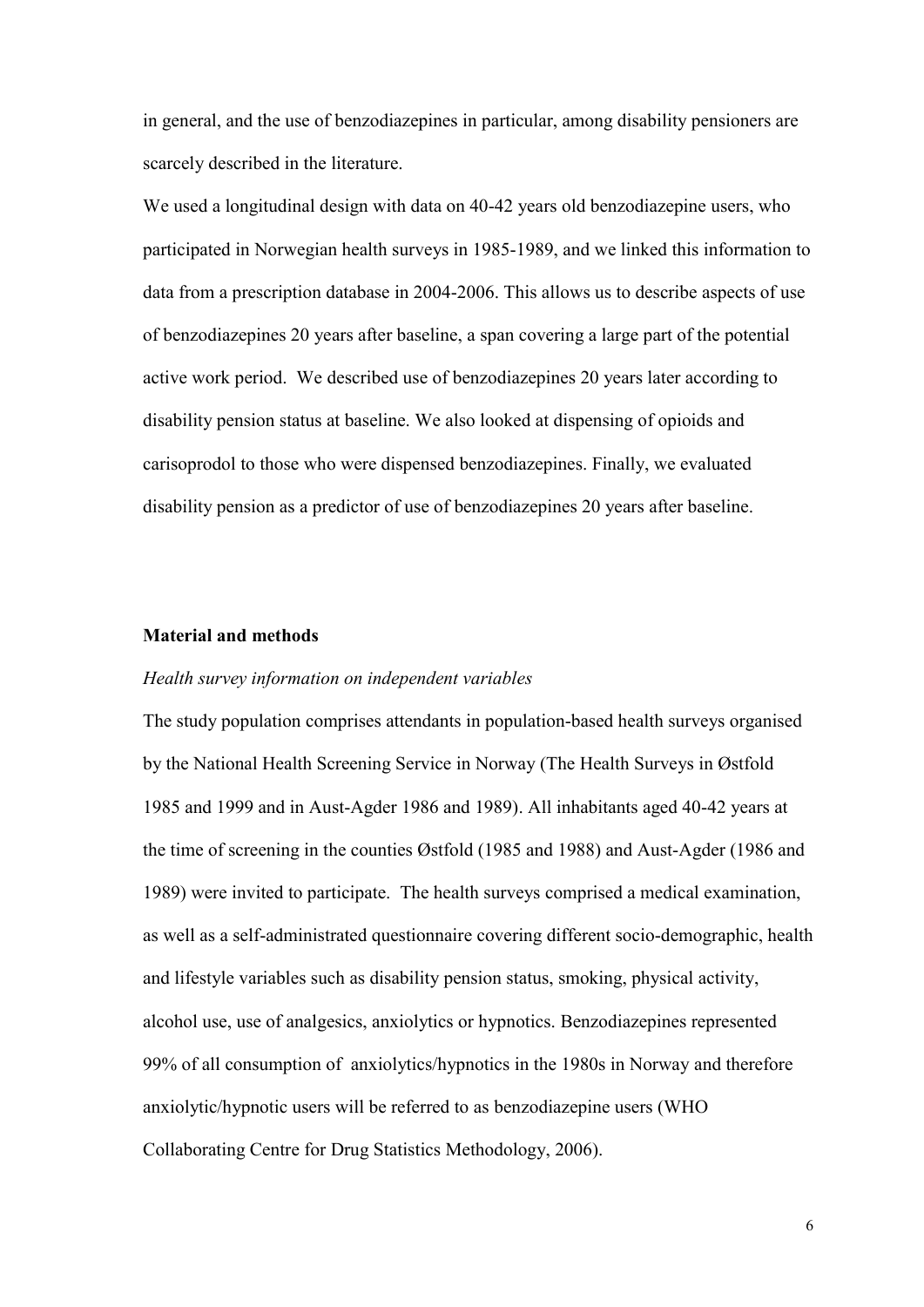in general, and the use of benzodiazepines in particular, among disability pensioners are scarcely described in the literature.

We used a longitudinal design with data on 40-42 years old benzodiazepine users, who participated in Norwegian health surveys in 1985-1989, and we linked this information to data from a prescription database in 2004-2006. This allows us to describe aspects of use of benzodiazepines 20 years after baseline, a span covering a large part of the potential active work period. We described use of benzodiazepines 20 years later according to disability pension status at baseline. We also looked at dispensing of opioids and carisoprodol to those who were dispensed benzodiazepines. Finally, we evaluated disability pension as a predictor of use of benzodiazepines 20 years after baseline.

#### **Material and methods**

#### *Health survey information on independent variables*

The study population comprises attendants in population-based health surveys organised by the National Health Screening Service in Norway (The Health Surveys in Østfold 1985 and 1999 and in Aust-Agder 1986 and 1989). All inhabitants aged 40-42 years at the time of screening in the counties Østfold (1985 and 1988) and Aust-Agder (1986 and 1989) were invited to participate. The health surveys comprised a medical examination, as well as a self-administrated questionnaire covering different socio-demographic, health and lifestyle variables such as disability pension status, smoking, physical activity, alcohol use, use of analgesics, anxiolytics or hypnotics. Benzodiazepines represented 99% of all consumption of anxiolytics/hypnotics in the 1980s in Norway and therefore anxiolytic/hypnotic users will be referred to as benzodiazepine users (WHO Collaborating Centre for Drug Statistics Methodology, 2006).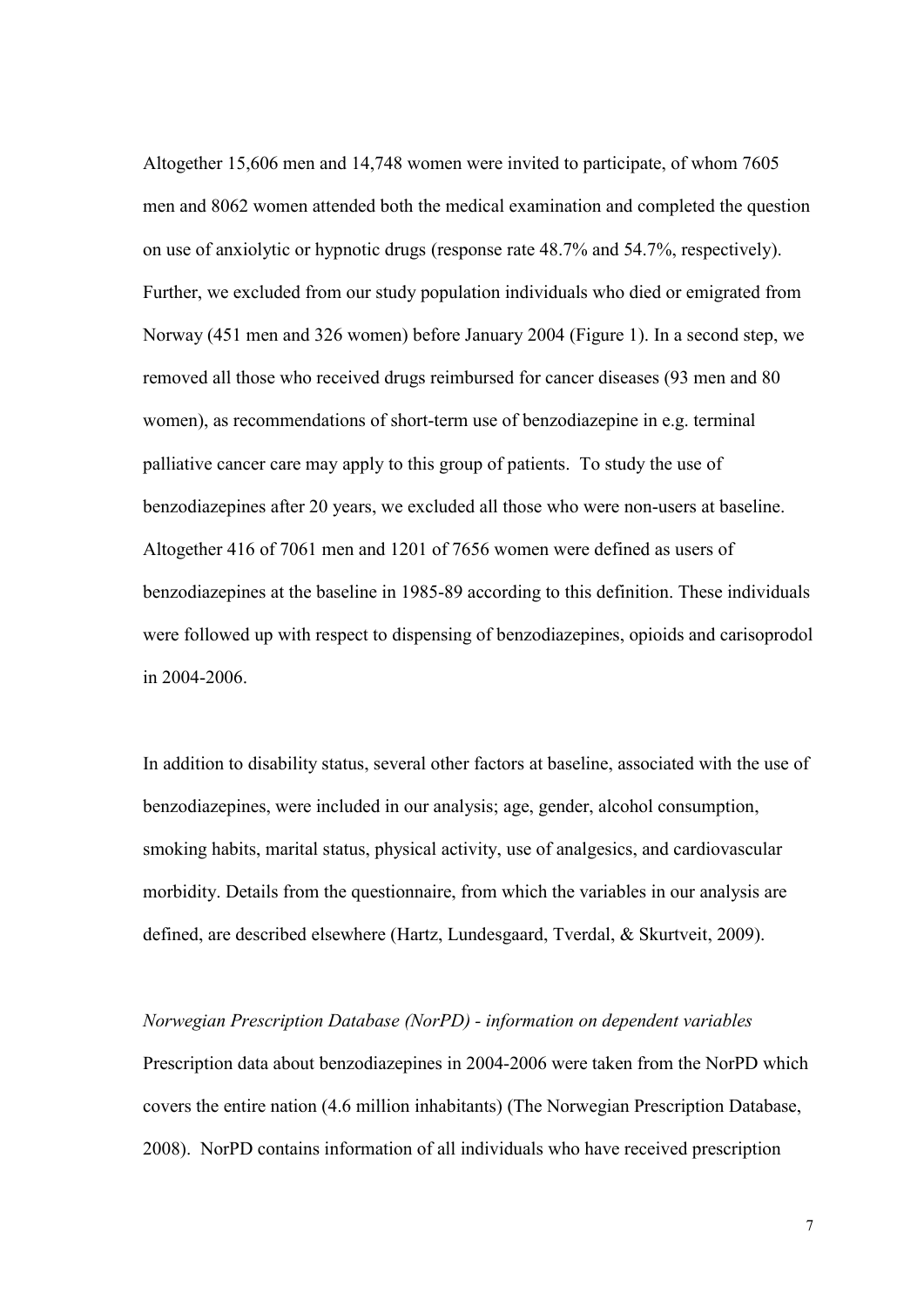Altogether 15,606 men and 14,748 women were invited to participate, of whom 7605 men and 8062 women attended both the medical examination and completed the question on use of anxiolytic or hypnotic drugs (response rate 48.7% and 54.7%, respectively). Further, we excluded from our study population individuals who died or emigrated from Norway (451 men and 326 women) before January 2004 (Figure 1). In a second step, we removed all those who received drugs reimbursed for cancer diseases (93 men and 80 women), as recommendations of short-term use of benzodiazepine in e.g. terminal palliative cancer care may apply to this group of patients. To study the use of benzodiazepines after 20 years, we excluded all those who were non-users at baseline. Altogether 416 of 7061 men and 1201 of 7656 women were defined as users of benzodiazepines at the baseline in 1985-89 according to this definition. These individuals were followed up with respect to dispensing of benzodiazepines, opioids and carisoprodol in 2004-2006.

In addition to disability status, several other factors at baseline, associated with the use of benzodiazepines, were included in our analysis; age, gender, alcohol consumption, smoking habits, marital status, physical activity, use of analgesics, and cardiovascular morbidity. Details from the questionnaire, from which the variables in our analysis are defined, are described elsewhere (Hartz, Lundesgaard, Tverdal, & Skurtveit, 2009).

*Norwegian Prescription Database (NorPD) - information on dependent variables* Prescription data about benzodiazepines in 2004-2006 were taken from the NorPD which covers the entire nation (4.6 million inhabitants) (The Norwegian Prescription Database, 2008). NorPD contains information of all individuals who have received prescription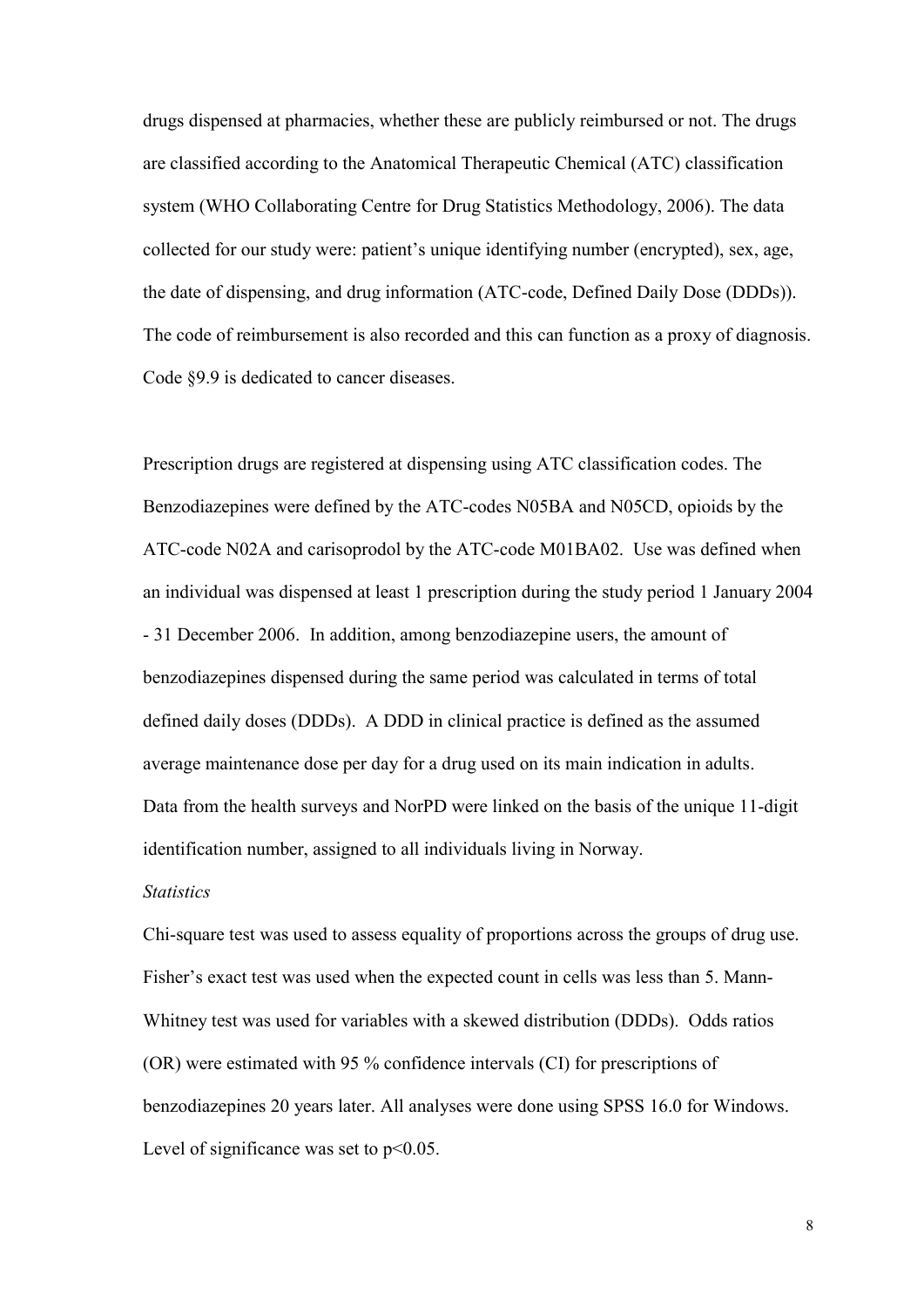drugs dispensed at pharmacies, whether these are publicly reimbursed or not. The drugs are classified according to the Anatomical Therapeutic Chemical (ATC) classification system (WHO Collaborating Centre for Drug Statistics Methodology, 2006). The data collected for our study were: patient"s unique identifying number (encrypted), sex, age, the date of dispensing, and drug information (ATC-code, Defined Daily Dose (DDDs)). The code of reimbursement is also recorded and this can function as a proxy of diagnosis. Code §9.9 is dedicated to cancer diseases.

Prescription drugs are registered at dispensing using ATC classification codes. The Benzodiazepines were defined by the ATC-codes N05BA and N05CD, opioids by the ATC-code N02A and carisoprodol by the ATC-code M01BA02. Use was defined when an individual was dispensed at least 1 prescription during the study period 1 January 2004 - 31 December 2006. In addition, among benzodiazepine users, the amount of benzodiazepines dispensed during the same period was calculated in terms of total defined daily doses (DDDs). A DDD in clinical practice is defined as the assumed average maintenance dose per day for a drug used on its main indication in adults. Data from the health surveys and NorPD were linked on the basis of the unique 11-digit identification number, assigned to all individuals living in Norway.

#### *Statistics*

Chi-square test was used to assess equality of proportions across the groups of drug use. Fisher's exact test was used when the expected count in cells was less than 5. Mann-Whitney test was used for variables with a skewed distribution (DDDs). Odds ratios (OR) were estimated with 95 % confidence intervals (CI) for prescriptions of benzodiazepines 20 years later. All analyses were done using SPSS 16.0 for Windows. Level of significance was set to  $p<0.05$ .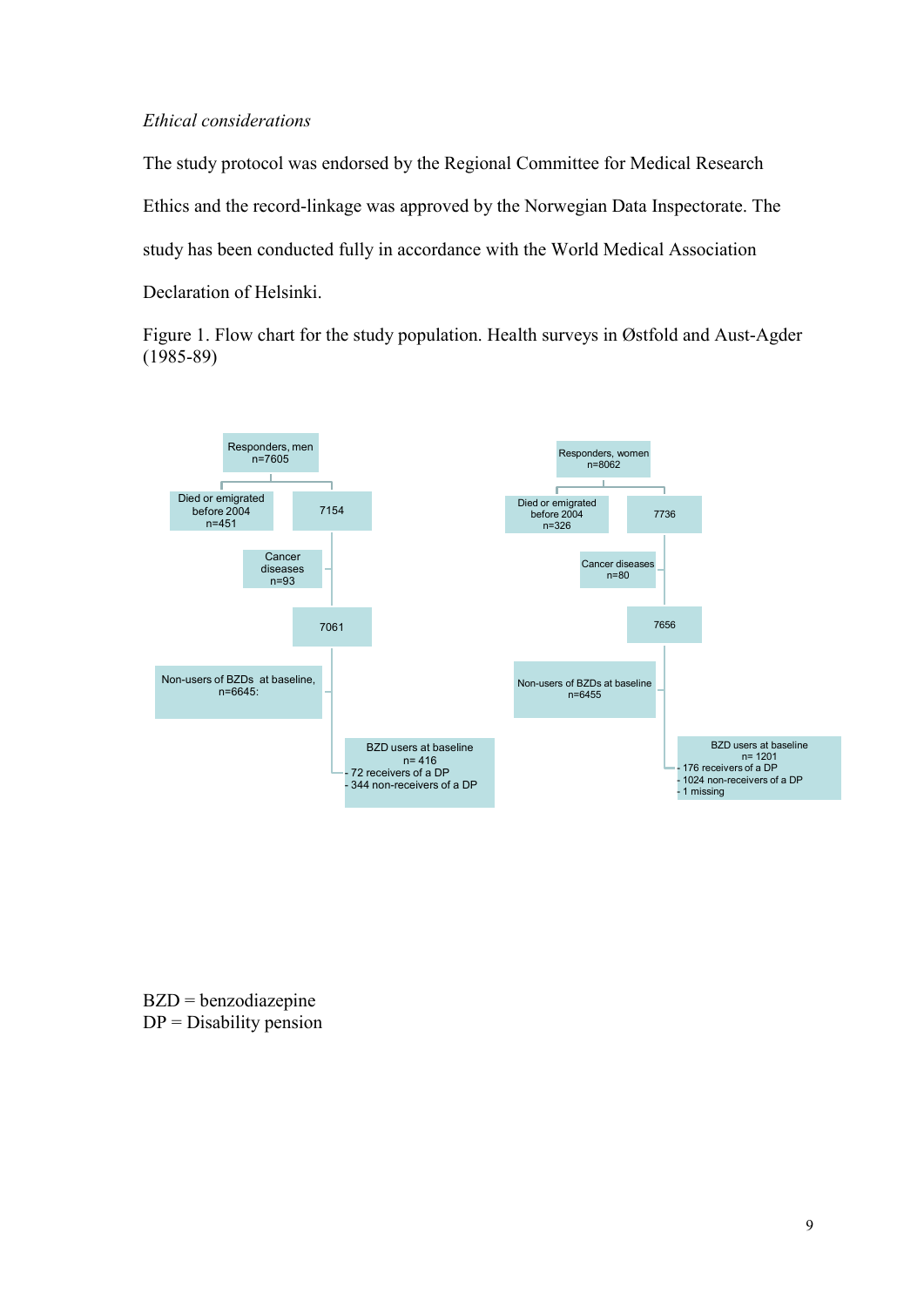#### *Ethical considerations*

The study protocol was endorsed by the Regional Committee for Medical Research Ethics and the record-linkage was approved by the Norwegian Data Inspectorate. The study has been conducted fully in accordance with the World Medical Association Declaration of Helsinki.

Figure 1. Flow chart for the study population. Health surveys in Østfold and Aust-Agder (1985-89)



BZD = benzodiazepine  $DP = Disability$  pension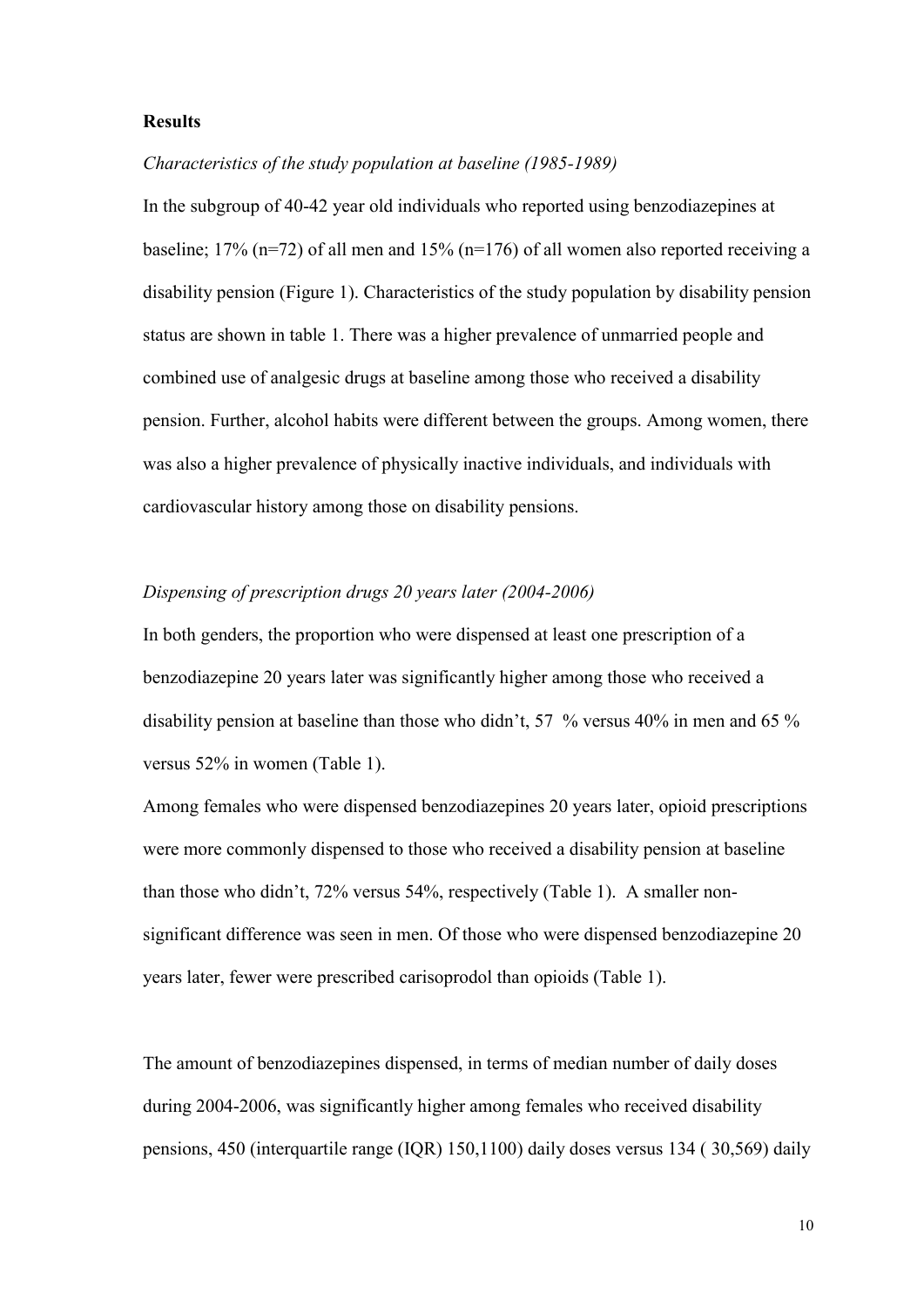#### **Results**

#### *Characteristics of the study population at baseline (1985-1989)*

In the subgroup of 40-42 year old individuals who reported using benzodiazepines at baseline; 17% (n=72) of all men and 15% (n=176) of all women also reported receiving a disability pension (Figure 1). Characteristics of the study population by disability pension status are shown in table 1. There was a higher prevalence of unmarried people and combined use of analgesic drugs at baseline among those who received a disability pension. Further, alcohol habits were different between the groups. Among women, there was also a higher prevalence of physically inactive individuals, and individuals with cardiovascular history among those on disability pensions.

#### *Dispensing of prescription drugs 20 years later (2004-2006)*

In both genders, the proportion who were dispensed at least one prescription of a benzodiazepine 20 years later was significantly higher among those who received a disability pension at baseline than those who didn"t, 57 % versus 40% in men and 65 % versus 52% in women (Table 1).

Among females who were dispensed benzodiazepines 20 years later, opioid prescriptions were more commonly dispensed to those who received a disability pension at baseline than those who didn"t, 72% versus 54%, respectively (Table 1). A smaller nonsignificant difference was seen in men. Of those who were dispensed benzodiazepine 20 years later, fewer were prescribed carisoprodol than opioids (Table 1).

The amount of benzodiazepines dispensed, in terms of median number of daily doses during 2004-2006, was significantly higher among females who received disability pensions, 450 (interquartile range (IQR) 150,1100) daily doses versus 134 ( 30,569) daily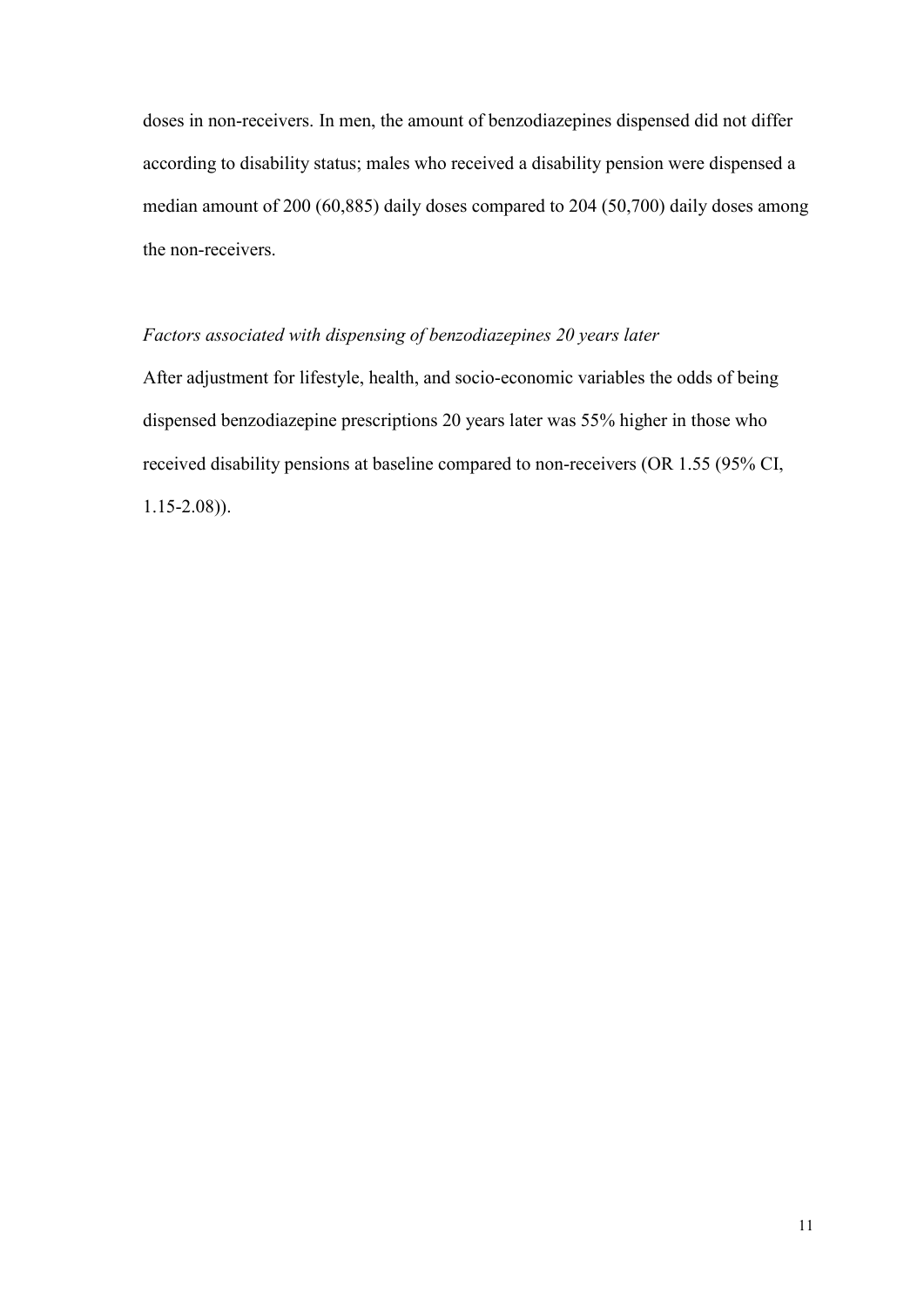doses in non-receivers. In men, the amount of benzodiazepines dispensed did not differ according to disability status; males who received a disability pension were dispensed a median amount of 200 (60,885) daily doses compared to 204 (50,700) daily doses among the non-receivers.

#### *Factors associated with dispensing of benzodiazepines 20 years later*

After adjustment for lifestyle, health, and socio-economic variables the odds of being dispensed benzodiazepine prescriptions 20 years later was 55% higher in those who received disability pensions at baseline compared to non-receivers (OR 1.55 (95% CI, 1.15-2.08)).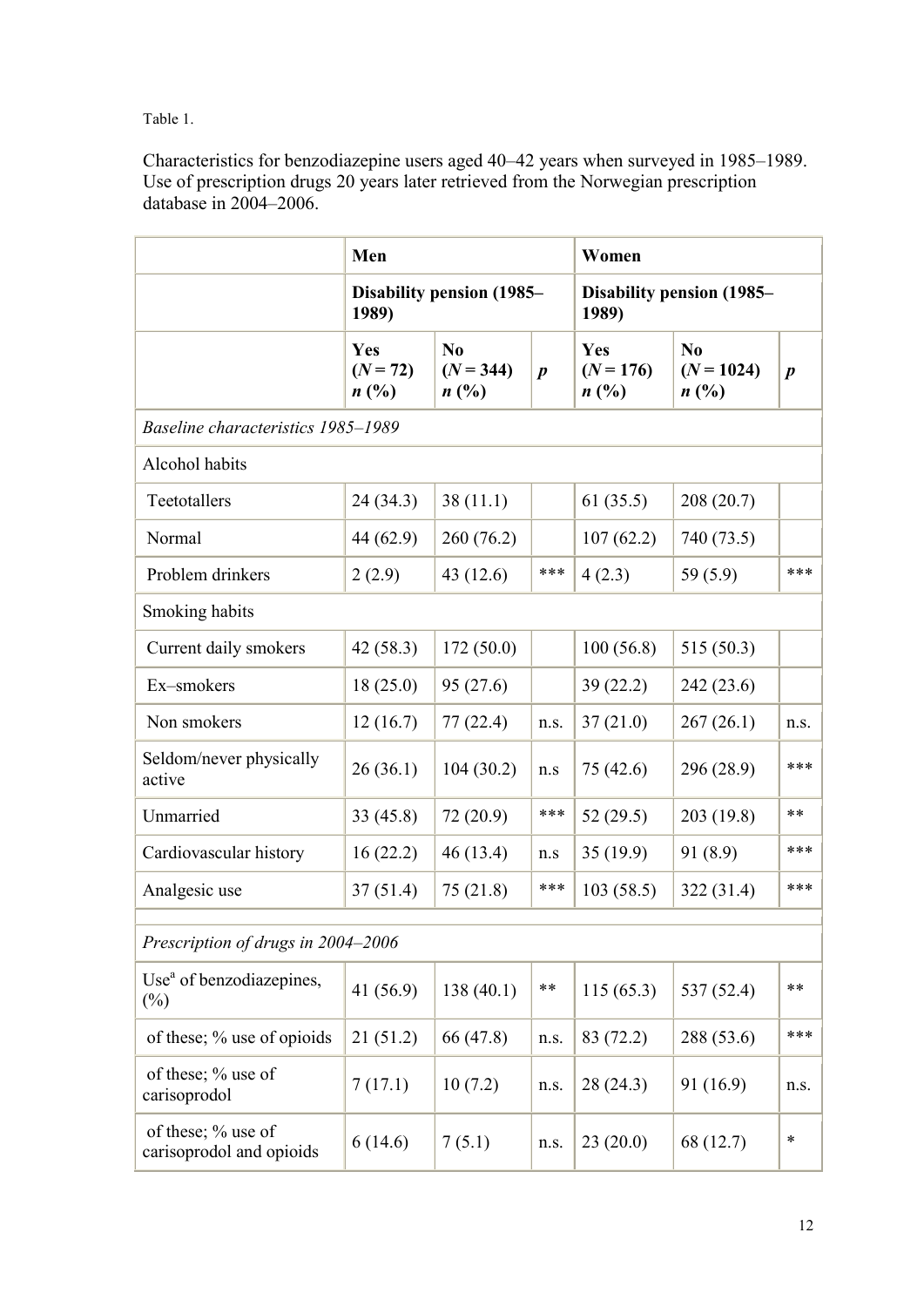Table 1.

Characteristics for benzodiazepine users aged 40–42 years when surveyed in 1985–1989. Use of prescription drugs 20 years later retrieved from the Norwegian prescription database in 2004–2006.

|                                                | Men                                 |                                       |                  | Women                                             |                                        |                  |
|------------------------------------------------|-------------------------------------|---------------------------------------|------------------|---------------------------------------------------|----------------------------------------|------------------|
|                                                | Disability pension (1985–<br>1989)  |                                       |                  | Disability pension (1985–<br>1989)                |                                        |                  |
|                                                | Yes<br>$(N = 72)$<br>$n(^{0}/_{0})$ | N <sub>0</sub><br>$(N = 344)$<br>n(%) | $\boldsymbol{p}$ | Yes<br>$(N = 176)$<br>$n\left(\frac{0}{0}\right)$ | N <sub>0</sub><br>$(N = 1024)$<br>n(%) | $\boldsymbol{p}$ |
| Baseline characteristics 1985-1989             |                                     |                                       |                  |                                                   |                                        |                  |
| Alcohol habits                                 |                                     |                                       |                  |                                                   |                                        |                  |
| Teetotallers                                   | 24(34.3)                            | 38(11.1)                              |                  | 61(35.5)                                          | 208(20.7)                              |                  |
| Normal                                         | 44 (62.9)                           | 260(76.2)                             |                  | 107(62.2)                                         | 740 (73.5)                             |                  |
| Problem drinkers                               | 2(2.9)                              | 43(12.6)                              | ***              | 4(2.3)                                            | 59 $(5.9)$                             | ***              |
| Smoking habits                                 |                                     |                                       |                  |                                                   |                                        |                  |
| Current daily smokers                          | 42(58.3)                            | 172(50.0)                             |                  | 100(56.8)                                         | 515(50.3)                              |                  |
| Ex-smokers                                     | 18(25.0)                            | 95(27.6)                              |                  | 39(22.2)                                          | 242(23.6)                              |                  |
| Non smokers                                    | 12(16.7)                            | 77(22.4)                              | n.s.             | 37(21.0)                                          | 267(26.1)                              | n.s.             |
| Seldom/never physically<br>active              | 26(36.1)                            | 104(30.2)                             | n.s              | 75 (42.6)                                         | 296 (28.9)                             | ***              |
| Unmarried                                      | 33(45.8)                            | 72(20.9)                              | ***              | 52(29.5)                                          | 203(19.8)                              | **               |
| Cardiovascular history                         | 16(22.2)                            | 46(13.4)                              | n.s              | 35(19.9)                                          | 91(8.9)                                | ***              |
| Analgesic use                                  | 37(51.4)                            | 75(21.8)                              | ***              | 103(58.5)                                         | 322(31.4)                              | ***              |
| Prescription of drugs in 2004-2006             |                                     |                                       |                  |                                                   |                                        |                  |
| Use <sup>a</sup> of benzodiazepines,<br>$(\%)$ | 41 (56.9)                           | 138(40.1)                             | **               | 115(65.3)                                         | 537 (52.4)                             | $***$            |
| of these; % use of opioids                     | 21(51.2)                            | 66 (47.8)                             | n.s.             | 83 (72.2)                                         | 288 (53.6)                             | ***              |
| of these; % use of<br>carisoprodol             | 7(17.1)                             | 10(7.2)                               | n.s.             | 28 (24.3)                                         | 91 (16.9)                              | n.s.             |
| of these; % use of<br>carisoprodol and opioids | 6(14.6)                             | 7(5.1)                                | n.s.             | 23(20.0)                                          | 68 (12.7)                              | $\ast$           |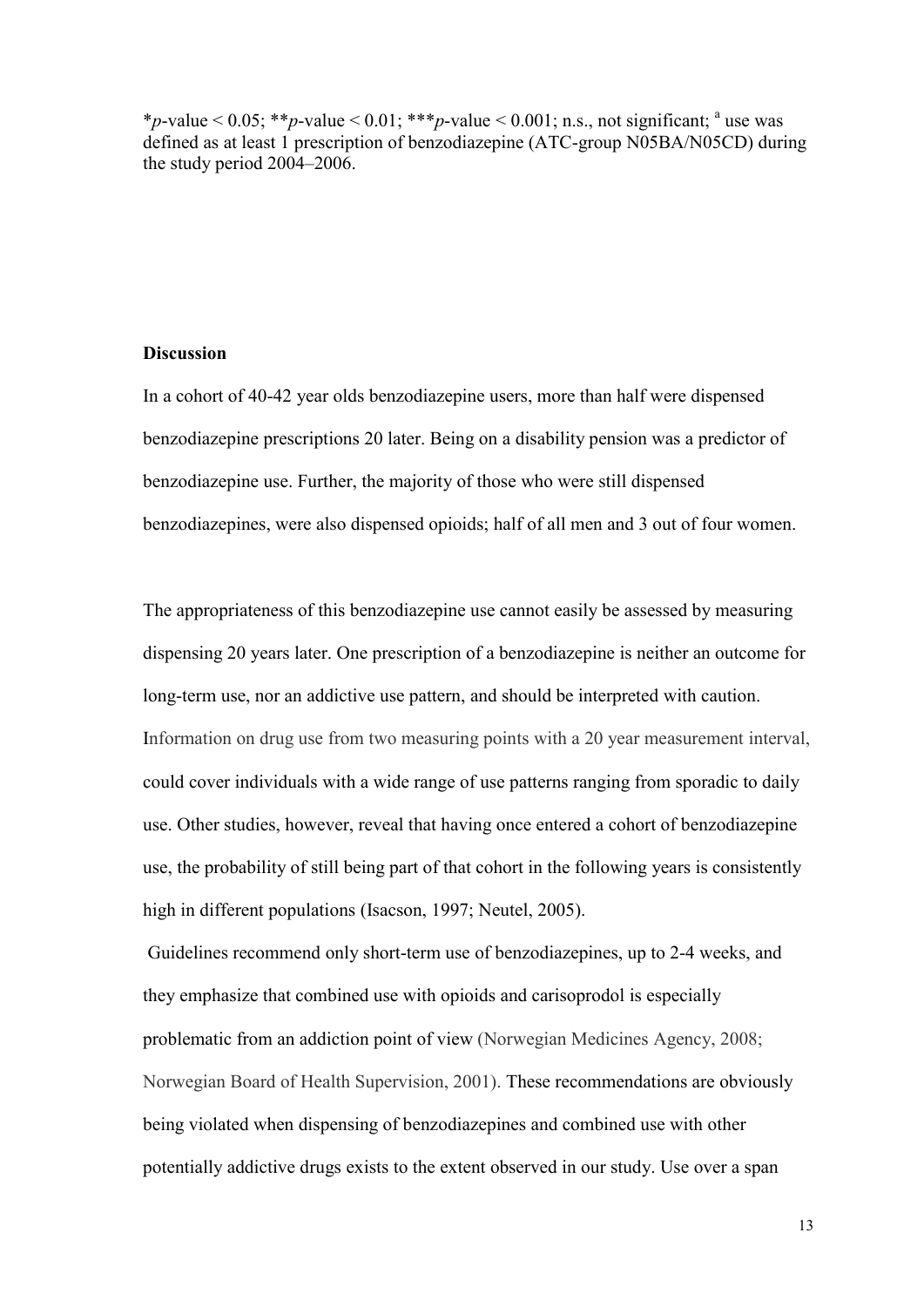\**p*-value < 0.05; \*\**p*-value < 0.01; \*\*\**p*-value < 0.001; n.s., not significant; <sup>a</sup> use was defined as at least 1 prescription of benzodiazepine (ATC-group N05BA/N05CD) during the study period 2004–2006.

#### **Discussion**

In a cohort of 40-42 year olds benzodiazepine users, more than half were dispensed benzodiazepine prescriptions 20 later. Being on a disability pension was a predictor of benzodiazepine use. Further, the majority of those who were still dispensed benzodiazepines, were also dispensed opioids; half of all men and 3 out of four women.

The appropriateness of this benzodiazepine use cannot easily be assessed by measuring dispensing 20 years later. One prescription of a benzodiazepine is neither an outcome for long-term use, nor an addictive use pattern, and should be interpreted with caution. Information on drug use from two measuring points with a 20 year measurement interval, could cover individuals with a wide range of use patterns ranging from sporadic to daily use. Other studies, however, reveal that having once entered a cohort of benzodiazepine use, the probability of still being part of that cohort in the following years is consistently high in different populations (Isacson, 1997; Neutel, 2005).

Guidelines recommend only short-term use of benzodiazepines, up to 2-4 weeks, and they emphasize that combined use with opioids and carisoprodol is especially problematic from an addiction point of view (Norwegian Medicines Agency, 2008; Norwegian Board of Health Supervision, 2001). These recommendations are obviously being violated when dispensing of benzodiazepines and combined use with other potentially addictive drugs exists to the extent observed in our study. Use over a span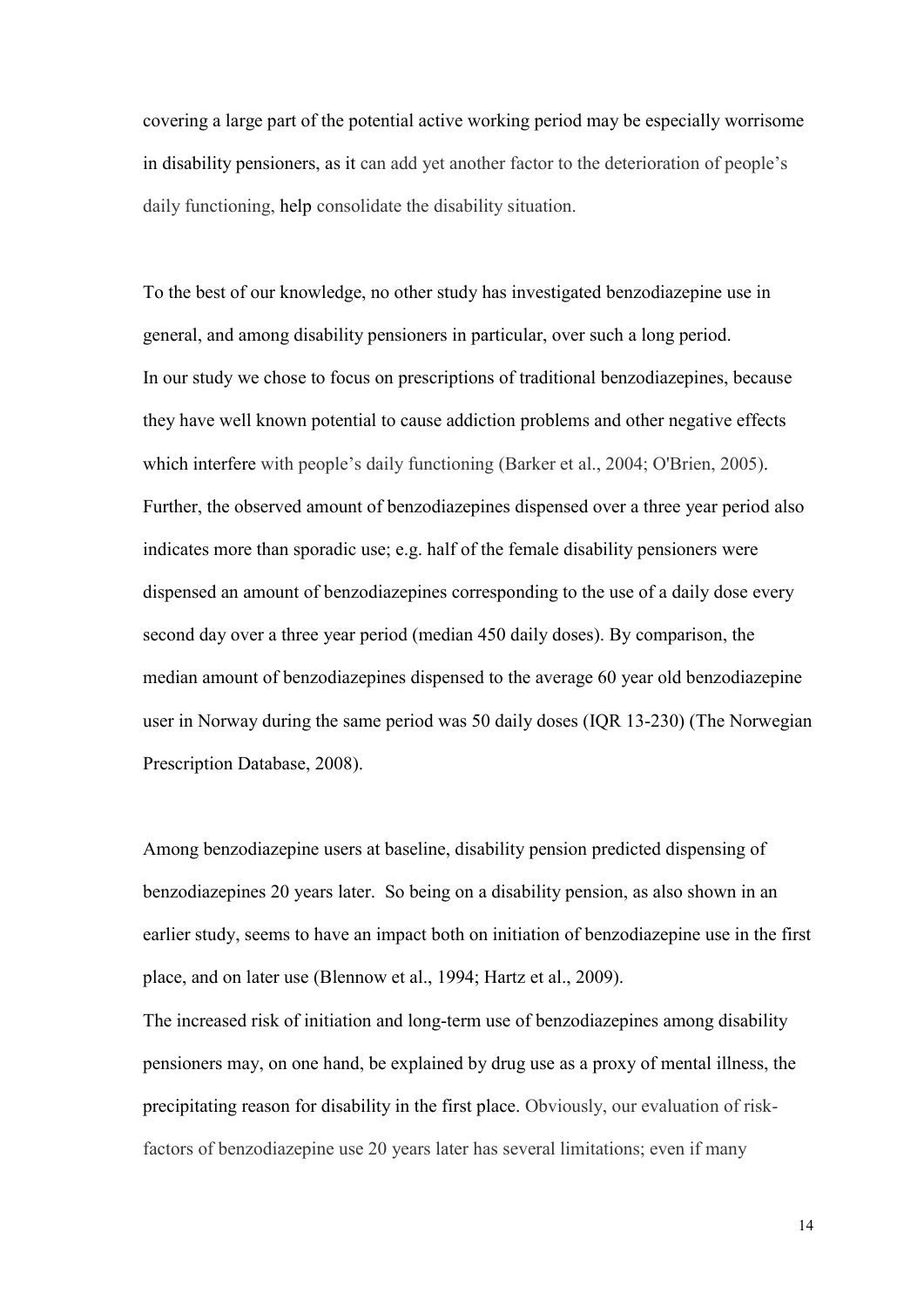covering a large part of the potential active working period may be especially worrisome in disability pensioners, as it can add yet another factor to the deterioration of people"s daily functioning, help consolidate the disability situation.

To the best of our knowledge, no other study has investigated benzodiazepine use in general, and among disability pensioners in particular, over such a long period. In our study we chose to focus on prescriptions of traditional benzodiazepines, because they have well known potential to cause addiction problems and other negative effects which interfere with people's daily functioning (Barker et al., 2004; O'Brien, 2005). Further, the observed amount of benzodiazepines dispensed over a three year period also indicates more than sporadic use; e.g. half of the female disability pensioners were dispensed an amount of benzodiazepines corresponding to the use of a daily dose every second day over a three year period (median 450 daily doses). By comparison, the median amount of benzodiazepines dispensed to the average 60 year old benzodiazepine user in Norway during the same period was 50 daily doses (IQR 13-230) (The Norwegian Prescription Database, 2008).

Among benzodiazepine users at baseline, disability pension predicted dispensing of benzodiazepines 20 years later. So being on a disability pension, as also shown in an earlier study, seems to have an impact both on initiation of benzodiazepine use in the first place, and on later use (Blennow et al., 1994; Hartz et al., 2009).

The increased risk of initiation and long-term use of benzodiazepines among disability pensioners may, on one hand, be explained by drug use as a proxy of mental illness, the precipitating reason for disability in the first place. Obviously, our evaluation of riskfactors of benzodiazepine use 20 years later has several limitations; even if many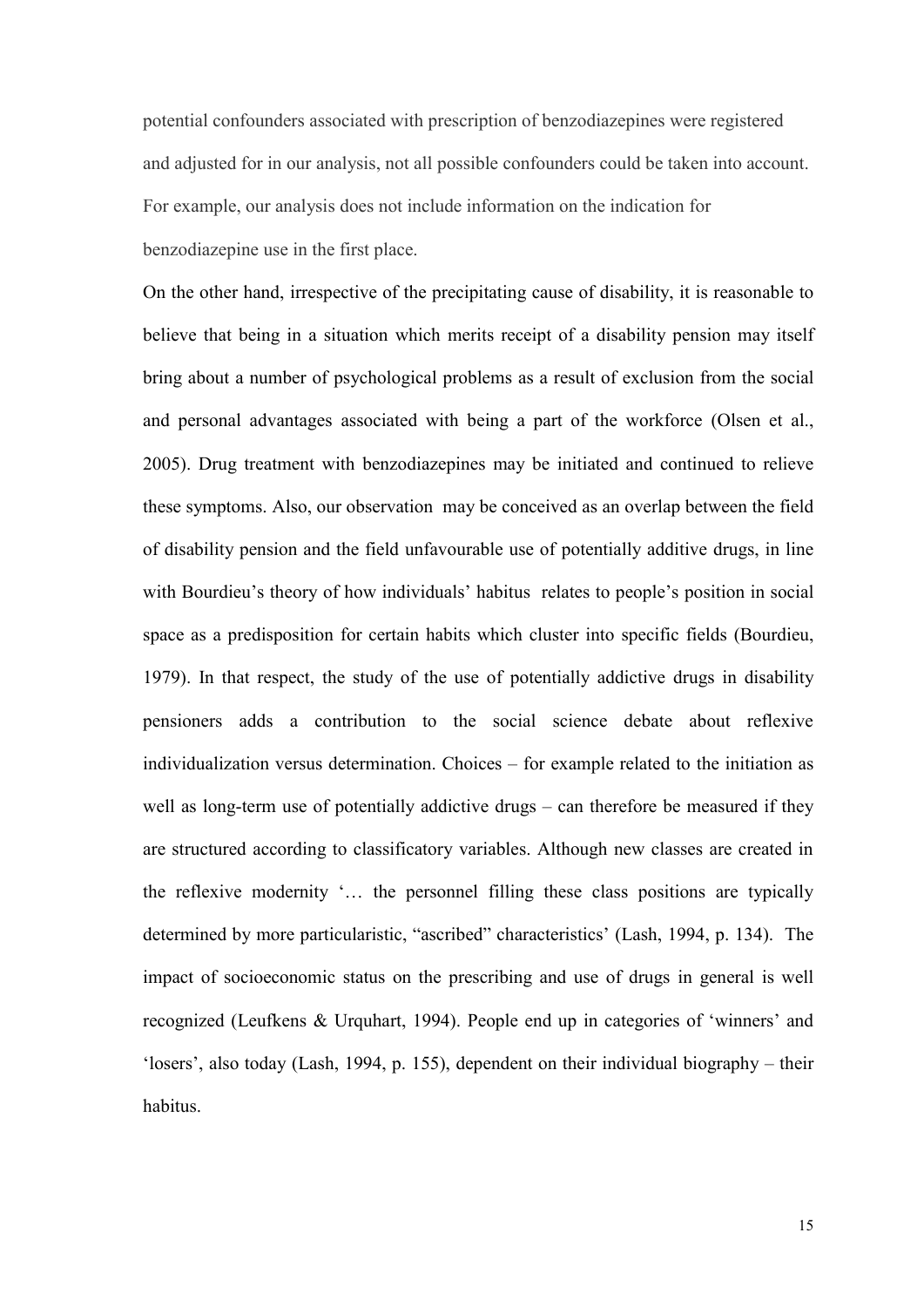potential confounders associated with prescription of benzodiazepines were registered and adjusted for in our analysis, not all possible confounders could be taken into account. For example, our analysis does not include information on the indication for benzodiazepine use in the first place.

On the other hand, irrespective of the precipitating cause of disability, it is reasonable to believe that being in a situation which merits receipt of a disability pension may itself bring about a number of psychological problems as a result of exclusion from the social and personal advantages associated with being a part of the workforce (Olsen et al., 2005). Drug treatment with benzodiazepines may be initiated and continued to relieve these symptoms. Also, our observation may be conceived as an overlap between the field of disability pension and the field unfavourable use of potentially additive drugs, in line with Bourdieu's theory of how individuals' habitus relates to people's position in social space as a predisposition for certain habits which cluster into specific fields (Bourdieu, 1979). In that respect, the study of the use of potentially addictive drugs in disability pensioners adds a contribution to the social science debate about reflexive individualization versus determination. Choices – for example related to the initiation as well as long-term use of potentially addictive drugs – can therefore be measured if they are structured according to classificatory variables. Although new classes are created in the reflexive modernity "… the personnel filling these class positions are typically determined by more particularistic, "ascribed" characteristics" (Lash, 1994, p. 134). The impact of socioeconomic status on the prescribing and use of drugs in general is well recognized (Leufkens & Urquhart, 1994). People end up in categories of "winners" and "losers", also today (Lash, 1994, p. 155), dependent on their individual biography – their habitus.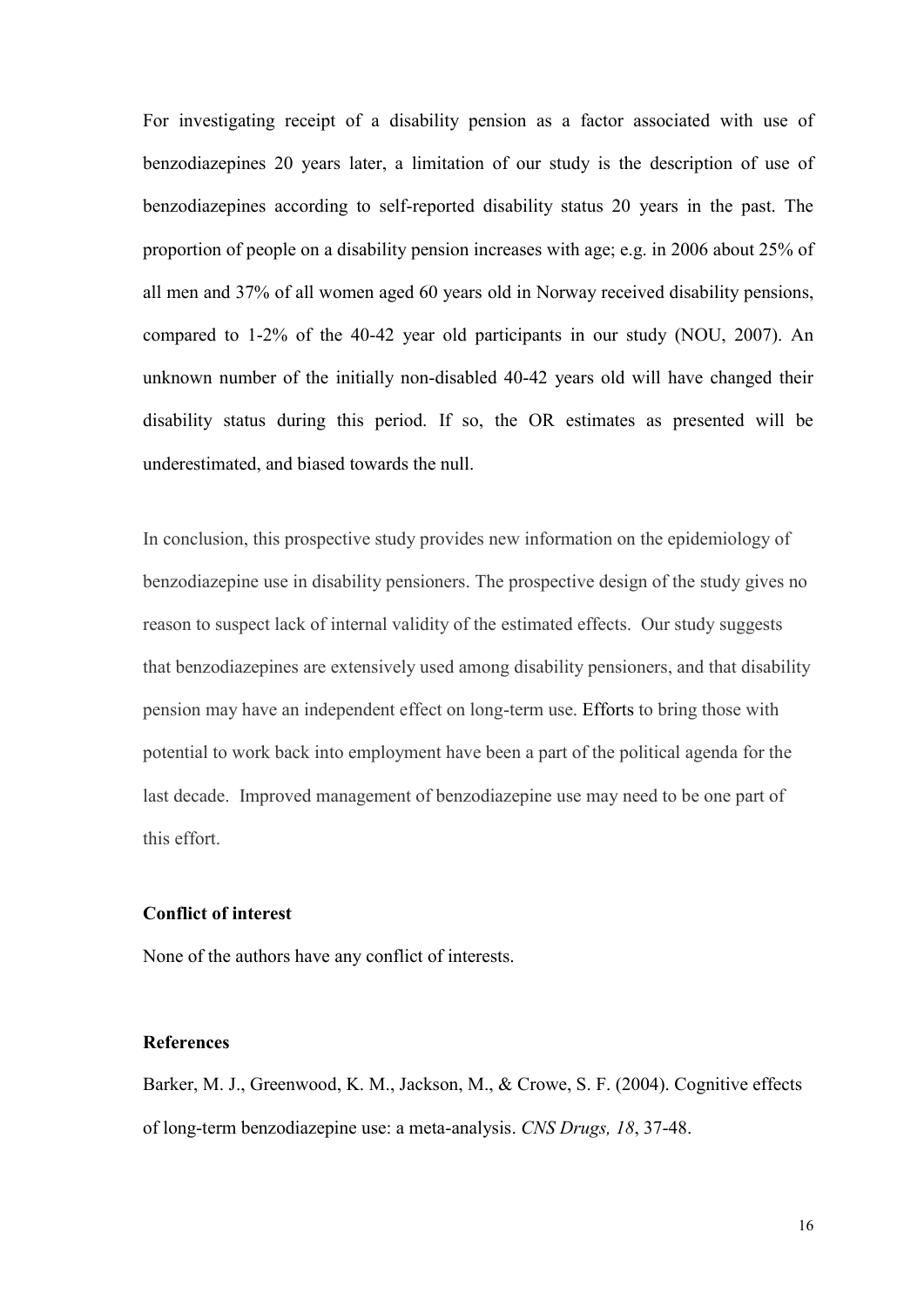For investigating receipt of a disability pension as a factor associated with use of benzodiazepines 20 years later, a limitation of our study is the description of use of benzodiazepines according to self-reported disability status 20 years in the past. The proportion of people on a disability pension increases with age; e.g. in 2006 about 25% of all men and 37% of all women aged 60 years old in Norway received disability pensions, compared to 1-2% of the 40-42 year old participants in our study (NOU, 2007). An unknown number of the initially non-disabled 40-42 years old will have changed their disability status during this period. If so, the OR estimates as presented will be underestimated, and biased towards the null.

In conclusion, this prospective study provides new information on the epidemiology of benzodiazepine use in disability pensioners. The prospective design of the study gives no reason to suspect lack of internal validity of the estimated effects. Our study suggests that benzodiazepines are extensively used among disability pensioners, and that disability pension may have an independent effect on long-term use. Efforts to bring those with potential to work back into employment have been a part of the political agenda for the last decade. Improved management of benzodiazepine use may need to be one part of this effort.

#### **Conflict of interest**

None of the authors have any conflict of interests.

#### **References**

Barker, M. J., Greenwood, K. M., Jackson, M., & Crowe, S. F. (2004). Cognitive effects of long-term benzodiazepine use: a meta-analysis. *CNS Drugs, 18*, 37-48.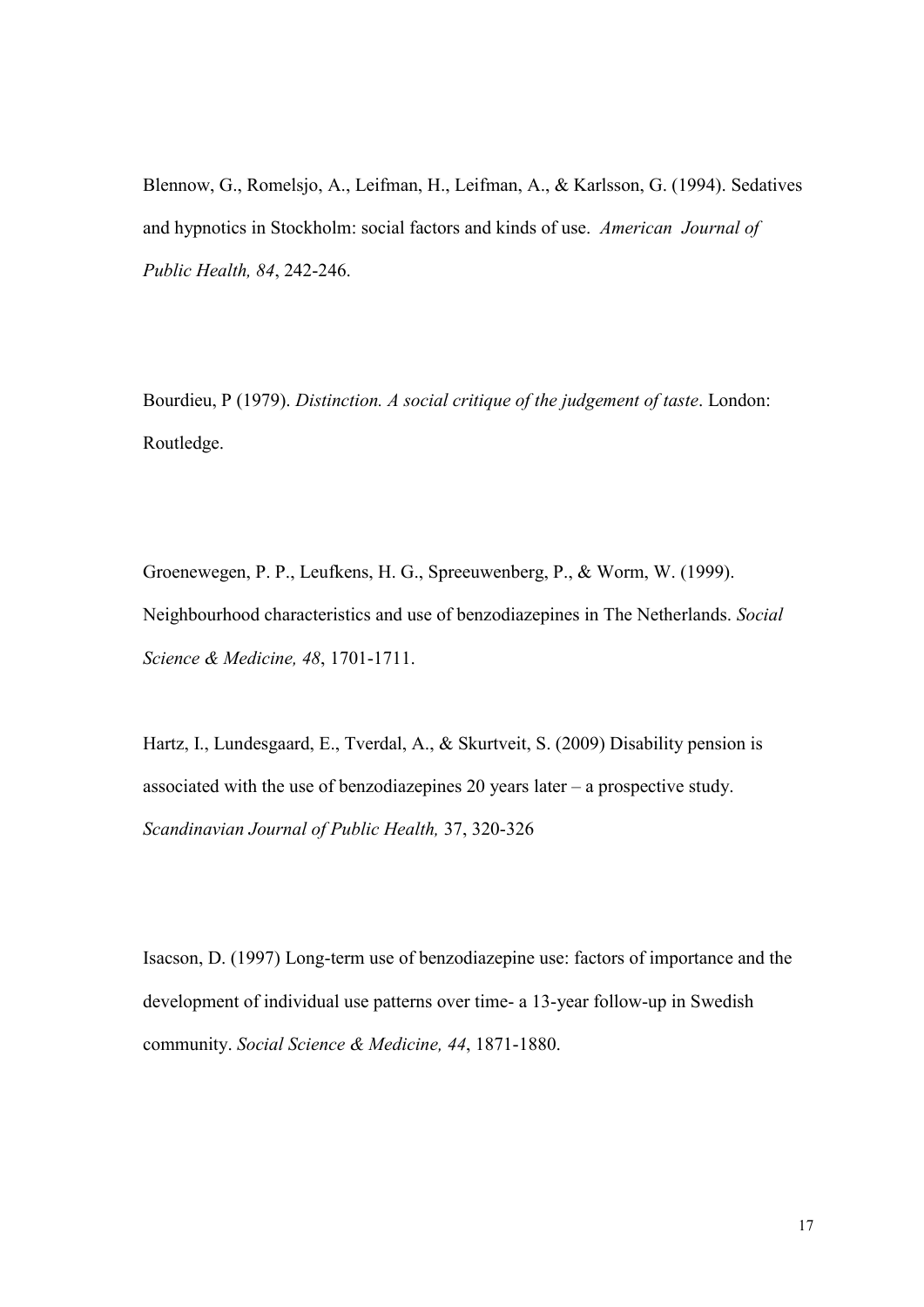Blennow, G., Romelsjo, A., Leifman, H., Leifman, A., & Karlsson, G. (1994). Sedatives and hypnotics in Stockholm: social factors and kinds of use. *American Journal of Public Health, 84*, 242-246.

Bourdieu, P (1979). *Distinction. A social critique of the judgement of taste*. London: Routledge.

Groenewegen, P. P., Leufkens, H. G., Spreeuwenberg, P., & Worm, W. (1999). Neighbourhood characteristics and use of benzodiazepines in The Netherlands. *Social Science & Medicine, 48*, 1701-1711.

Hartz, I., Lundesgaard, E., Tverdal, A., & Skurtveit, S. (2009) Disability pension is associated with the use of benzodiazepines 20 years later – a prospective study. *Scandinavian Journal of Public Health,* 37, 320-326

Isacson, D. (1997) Long-term use of benzodiazepine use: factors of importance and the development of individual use patterns over time- a 13-year follow-up in Swedish community. *Social Science & Medicine, 44*, 1871-1880.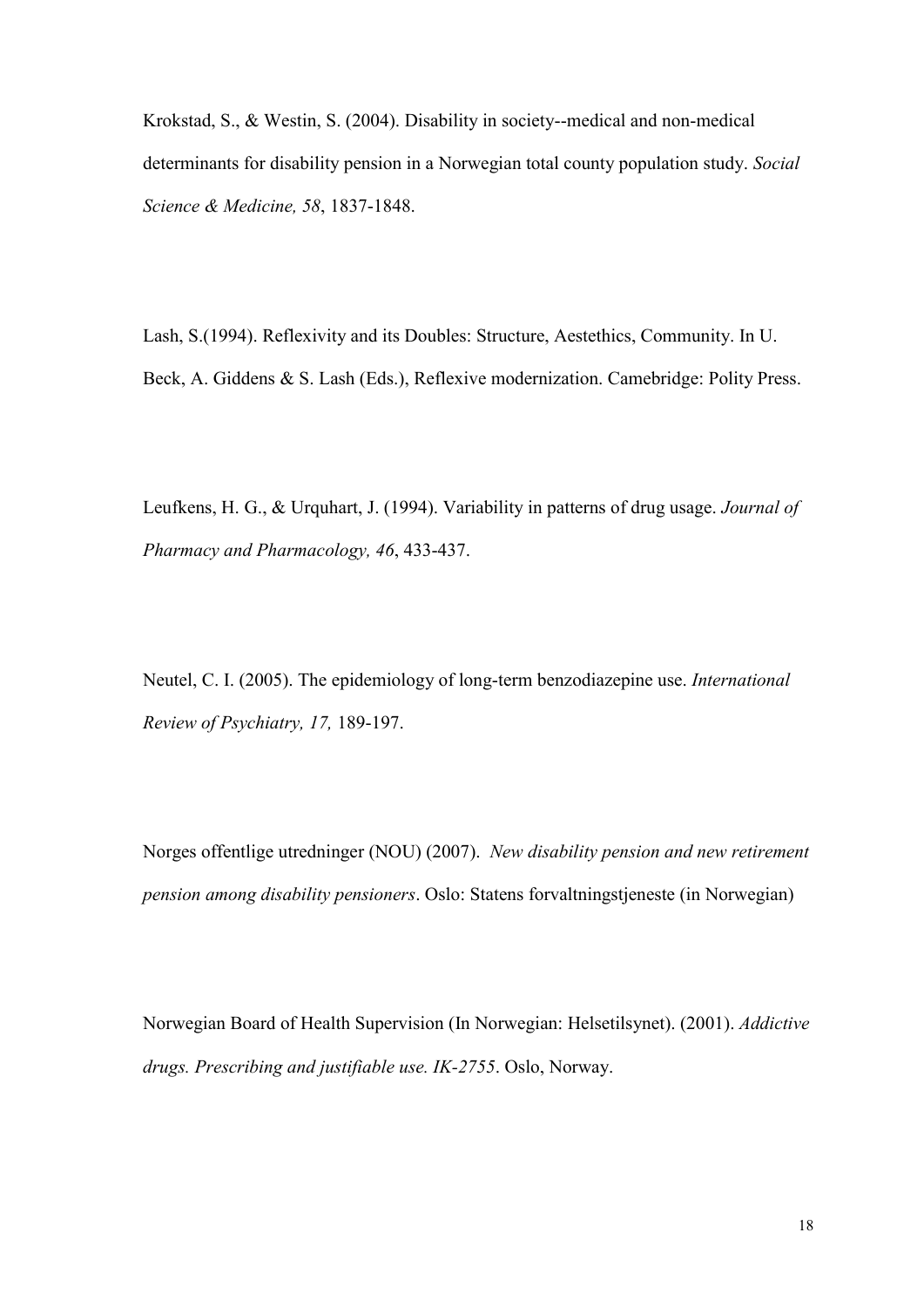Krokstad, S., & Westin, S. (2004). Disability in society--medical and non-medical determinants for disability pension in a Norwegian total county population study. *Social Science & Medicine, 58*, 1837-1848.

Lash, S.(1994). Reflexivity and its Doubles: Structure, Aestethics, Community. In U. Beck, A. Giddens & S. Lash (Eds.), Reflexive modernization. Camebridge: Polity Press.

Leufkens, H. G., & Urquhart, J. (1994). Variability in patterns of drug usage. *Journal of Pharmacy and Pharmacology, 46*, 433-437.

Neutel, C. I. (2005). The epidemiology of long-term benzodiazepine use. *International Review of Psychiatry, 17,* 189-197.

Norges offentlige utredninger (NOU) (2007). *New disability pension and new retirement pension among disability pensioners*. Oslo: Statens forvaltningstjeneste (in Norwegian)

Norwegian Board of Health Supervision (In Norwegian: Helsetilsynet). (2001). *Addictive drugs. Prescribing and justifiable use. IK-2755*. Oslo, Norway.